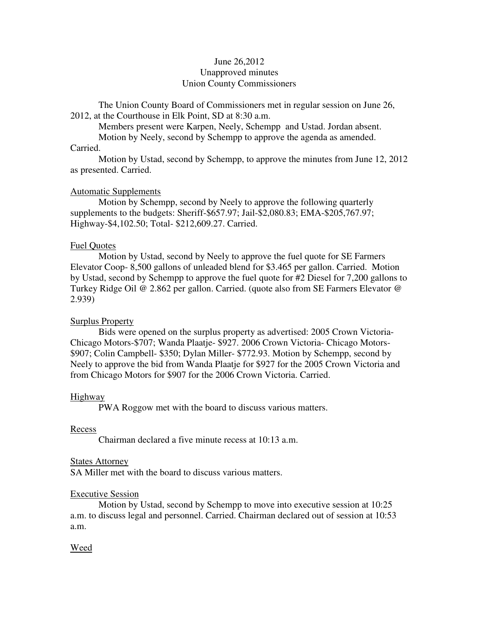## June 26,2012 Unapproved minutes Union County Commissioners

The Union County Board of Commissioners met in regular session on June 26, 2012, at the Courthouse in Elk Point, SD at 8:30 a.m.

Members present were Karpen, Neely, Schempp and Ustad. Jordan absent.

Motion by Neely, second by Schempp to approve the agenda as amended.

#### Carried.

 Motion by Ustad, second by Schempp, to approve the minutes from June 12, 2012 as presented. Carried.

# Automatic Supplements

 Motion by Schempp, second by Neely to approve the following quarterly supplements to the budgets: Sheriff-\$657.97; Jail-\$2,080.83; EMA-\$205,767.97; Highway-\$4,102.50; Total- \$212,609.27. Carried.

# Fuel Quotes

 Motion by Ustad, second by Neely to approve the fuel quote for SE Farmers Elevator Coop- 8,500 gallons of unleaded blend for \$3.465 per gallon. Carried. Motion by Ustad, second by Schempp to approve the fuel quote for #2 Diesel for 7,200 gallons to Turkey Ridge Oil @ 2.862 per gallon. Carried. (quote also from SE Farmers Elevator @ 2.939)

## Surplus Property

 Bids were opened on the surplus property as advertised: 2005 Crown Victoria-Chicago Motors-\$707; Wanda Plaatje- \$927. 2006 Crown Victoria- Chicago Motors- \$907; Colin Campbell- \$350; Dylan Miller- \$772.93. Motion by Schempp, second by Neely to approve the bid from Wanda Plaatje for \$927 for the 2005 Crown Victoria and from Chicago Motors for \$907 for the 2006 Crown Victoria. Carried.

## Highway

PWA Roggow met with the board to discuss various matters.

## Recess

Chairman declared a five minute recess at 10:13 a.m.

## States Attorney

SA Miller met with the board to discuss various matters.

## Executive Session

 Motion by Ustad, second by Schempp to move into executive session at 10:25 a.m. to discuss legal and personnel. Carried. Chairman declared out of session at 10:53 a.m.

## Weed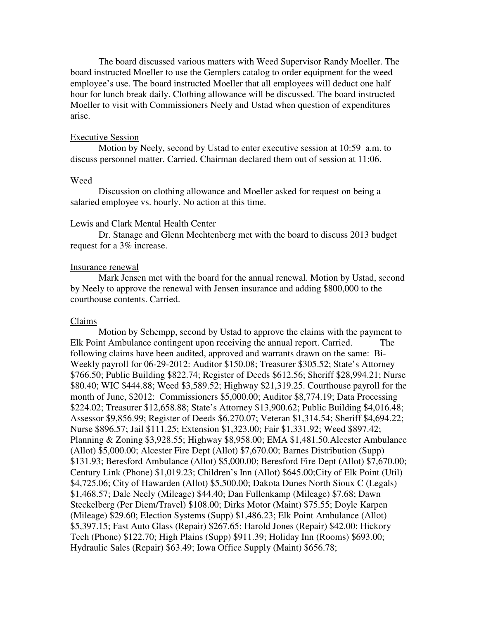The board discussed various matters with Weed Supervisor Randy Moeller. The board instructed Moeller to use the Gemplers catalog to order equipment for the weed employee's use. The board instructed Moeller that all employees will deduct one half hour for lunch break daily. Clothing allowance will be discussed. The board instructed Moeller to visit with Commissioners Neely and Ustad when question of expenditures arise.

#### Executive Session

 Motion by Neely, second by Ustad to enter executive session at 10:59 a.m. to discuss personnel matter. Carried. Chairman declared them out of session at 11:06.

#### Weed

 Discussion on clothing allowance and Moeller asked for request on being a salaried employee vs. hourly. No action at this time.

#### Lewis and Clark Mental Health Center

 Dr. Stanage and Glenn Mechtenberg met with the board to discuss 2013 budget request for a 3% increase.

#### Insurance renewal

 Mark Jensen met with the board for the annual renewal. Motion by Ustad, second by Neely to approve the renewal with Jensen insurance and adding \$800,000 to the courthouse contents. Carried.

#### Claims

 Motion by Schempp, second by Ustad to approve the claims with the payment to Elk Point Ambulance contingent upon receiving the annual report. Carried. The following claims have been audited, approved and warrants drawn on the same: Bi-Weekly payroll for 06-29-2012: Auditor \$150.08; Treasurer \$305.52; State's Attorney \$766.50; Public Building \$822.74; Register of Deeds \$612.56; Sheriff \$28,994.21; Nurse \$80.40; WIC \$444.88; Weed \$3,589.52; Highway \$21,319.25. Courthouse payroll for the month of June, \$2012: Commissioners \$5,000.00; Auditor \$8,774.19; Data Processing \$224.02; Treasurer \$12,658.88; State's Attorney \$13,900.62; Public Building \$4,016.48; Assessor \$9,856.99; Register of Deeds \$6,270.07; Veteran \$1,314.54; Sheriff \$4,694.22; Nurse \$896.57; Jail \$111.25; Extension \$1,323.00; Fair \$1,331.92; Weed \$897.42; Planning & Zoning \$3,928.55; Highway \$8,958.00; EMA \$1,481.50.Alcester Ambulance (Allot) \$5,000.00; Alcester Fire Dept (Allot) \$7,670.00; Barnes Distribution (Supp) \$131.93; Beresford Ambulance (Allot) \$5,000.00; Beresford Fire Dept (Allot) \$7,670.00; Century Link (Phone) \$1,019.23; Children's Inn (Allot) \$645.00;City of Elk Point (Util) \$4,725.06; City of Hawarden (Allot) \$5,500.00; Dakota Dunes North Sioux C (Legals) \$1,468.57; Dale Neely (Mileage) \$44.40; Dan Fullenkamp (Mileage) \$7.68; Dawn Steckelberg (Per Diem/Travel) \$108.00; Dirks Motor (Maint) \$75.55; Doyle Karpen (Mileage) \$29.60; Election Systems (Supp) \$1,486.23; Elk Point Ambulance (Allot) \$5,397.15; Fast Auto Glass (Repair) \$267.65; Harold Jones (Repair) \$42.00; Hickory Tech (Phone) \$122.70; High Plains (Supp) \$911.39; Holiday Inn (Rooms) \$693.00; Hydraulic Sales (Repair) \$63.49; Iowa Office Supply (Maint) \$656.78;